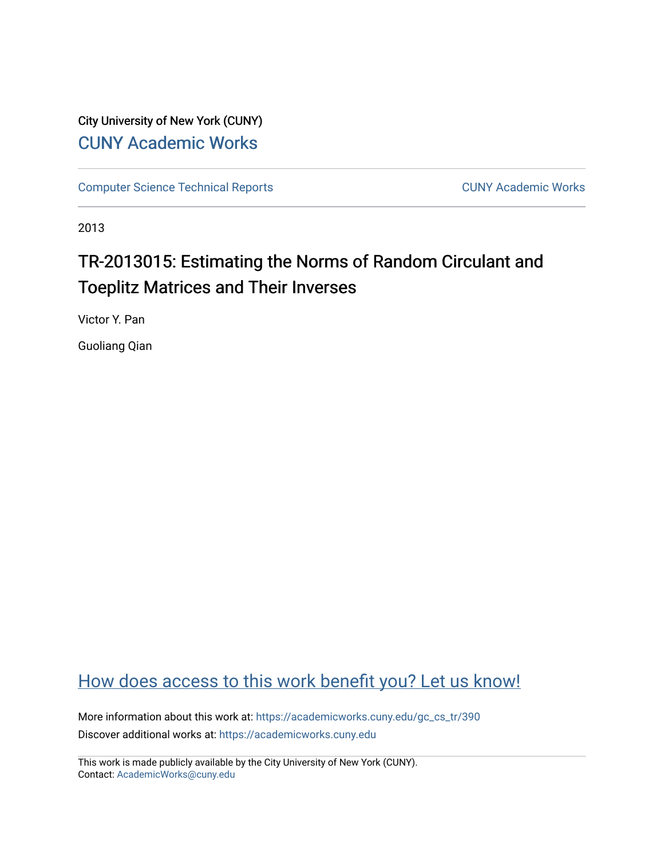# City University of New York (CUNY) [CUNY Academic Works](https://academicworks.cuny.edu/)

[Computer Science Technical Reports](https://academicworks.cuny.edu/gc_cs_tr) **CUNY Academic Works** CUNY Academic Works

2013

# TR-2013015: Estimating the Norms of Random Circulant and Toeplitz Matrices and Their Inverses

Victor Y. Pan

Guoliang Qian

# [How does access to this work benefit you? Let us know!](http://ols.cuny.edu/academicworks/?ref=https://academicworks.cuny.edu/gc_cs_tr/390)

More information about this work at: https://academicworks.cuny.edu/gc\_cs\_tr/390 Discover additional works at: [https://academicworks.cuny.edu](https://academicworks.cuny.edu/?)

This work is made publicly available by the City University of New York (CUNY). Contact: [AcademicWorks@cuny.edu](mailto:AcademicWorks@cuny.edu)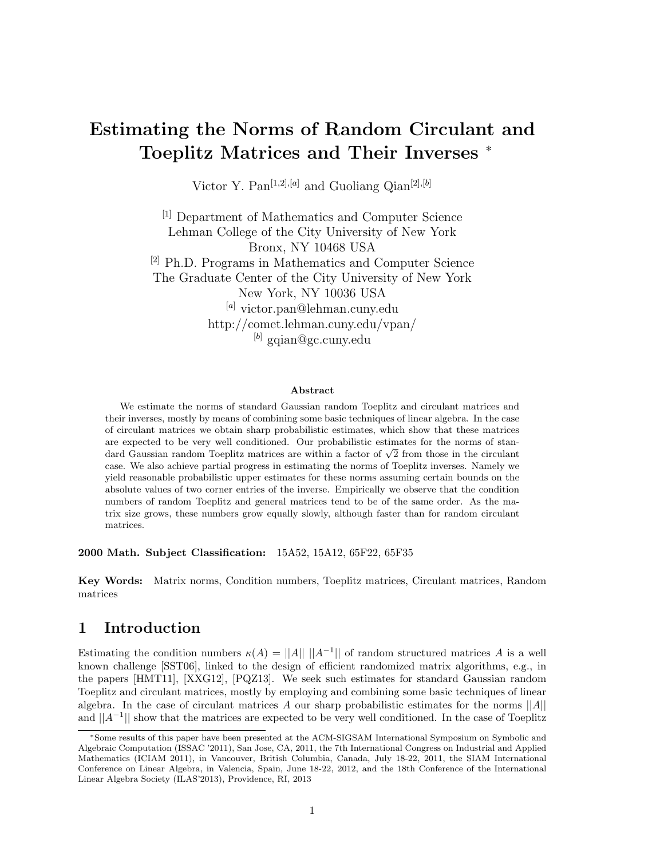# Estimating the Norms of Random Circulant and Toeplitz Matrices and Their Inverses <sup>∗</sup>

Victor Y. Pan<sup>[1,2],[a]</sup> and Guoliang Qian<sup>[2],[b]</sup>

[1] Department of Mathematics and Computer Science Lehman College of the City University of New York Bronx, NY 10468 USA [2] Ph.D. Programs in Mathematics and Computer Science The Graduate Center of the City University of New York New York, NY 10036 USA [a] victor.pan@lehman.cuny.edu http://comet.lehman.cuny.edu/vpan/  $^{[b]}$  gqian@gc.cuny.edu

#### Abstract

We estimate the norms of standard Gaussian random Toeplitz and circulant matrices and their inverses, mostly by means of combining some basic techniques of linear algebra. In the case of circulant matrices we obtain sharp probabilistic estimates, which show that these matrices are expected to be very well conditioned. Our probabilistic estimates for the norms of stanare expected to be very well conditioned. Our probabilistic estimates for the norms of standard Gaussian random Toeplitz matrices are within a factor of  $\sqrt{2}$  from those in the circulant case. We also achieve partial progress in estimating the norms of Toeplitz inverses. Namely we yield reasonable probabilistic upper estimates for these norms assuming certain bounds on the absolute values of two corner entries of the inverse. Empirically we observe that the condition numbers of random Toeplitz and general matrices tend to be of the same order. As the matrix size grows, these numbers grow equally slowly, although faster than for random circulant matrices.

2000 Math. Subject Classification: 15A52, 15A12, 65F22, 65F35

Key Words: Matrix norms, Condition numbers, Toeplitz matrices, Circulant matrices, Random matrices

## 1 Introduction

Estimating the condition numbers  $\kappa(A) = ||A|| \, ||A^{-1}||$  of random structured matrices A is a well known challenge [SST06], linked to the design of efficient randomized matrix algorithms, e.g., in the papers [HMT11], [XXG12], [PQZ13]. We seek such estimates for standard Gaussian random Toeplitz and circulant matrices, mostly by employing and combining some basic techniques of linear algebra. In the case of circulant matrices A our sharp probabilistic estimates for the norms  $||A||$ and  $||A^{-1}||$  show that the matrices are expected to be very well conditioned. In the case of Toeplitz

<sup>∗</sup>Some results of this paper have been presented at the ACM-SIGSAM International Symposium on Symbolic and Algebraic Computation (ISSAC '2011), San Jose, CA, 2011, the 7th International Congress on Industrial and Applied Mathematics (ICIAM 2011), in Vancouver, British Columbia, Canada, July 18-22, 2011, the SIAM International Conference on Linear Algebra, in Valencia, Spain, June 18-22, 2012, and the 18th Conference of the International Linear Algebra Society (ILAS'2013), Providence, RI, 2013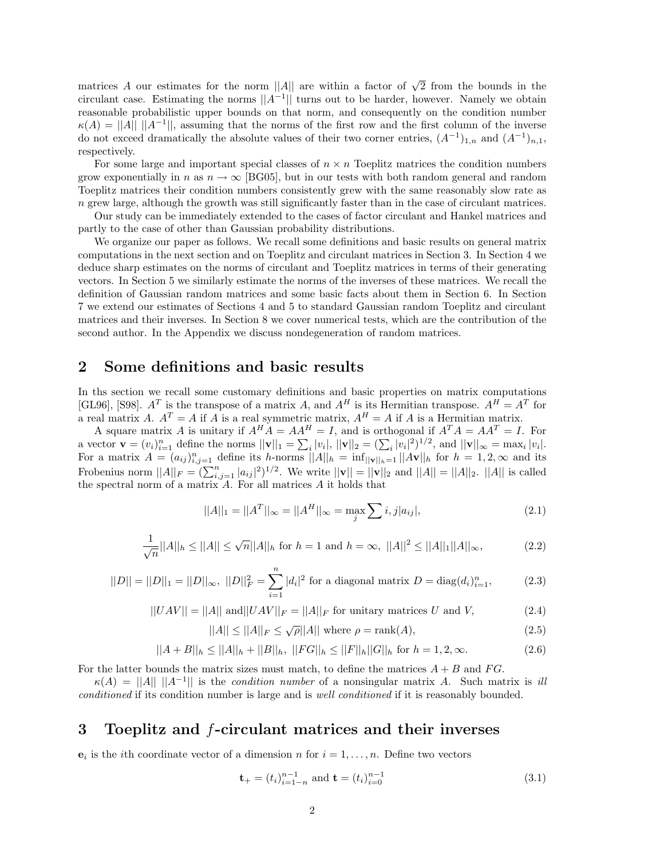matrices A our estimates for the norm ||A|| are within a factor of  $\sqrt{2}$  from the bounds in the circulant case. Estimating the norms  $||A^{-1}||$  turns out to be harder, however. Namely we obtain reasonable probabilistic upper bounds on that norm, and consequently on the condition number  $\kappa(A) = ||A|| \, ||A^{-1}||$ , assuming that the norms of the first row and the first column of the inverse do not exceed dramatically the absolute values of their two corner entries,  $(A^{-1})_{1,n}$  and  $(A^{-1})_{n,1}$ , respectively.

For some large and important special classes of  $n \times n$  Toeplitz matrices the condition numbers grow exponentially in n as  $n \to \infty$  [BG05], but in our tests with both random general and random Toeplitz matrices their condition numbers consistently grew with the same reasonably slow rate as n grew large, although the growth was still significantly faster than in the case of circulant matrices.

Our study can be immediately extended to the cases of factor circulant and Hankel matrices and partly to the case of other than Gaussian probability distributions.

We organize our paper as follows. We recall some definitions and basic results on general matrix computations in the next section and on Toeplitz and circulant matrices in Section 3. In Section 4 we deduce sharp estimates on the norms of circulant and Toeplitz matrices in terms of their generating vectors. In Section 5 we similarly estimate the norms of the inverses of these matrices. We recall the definition of Gaussian random matrices and some basic facts about them in Section 6. In Section 7 we extend our estimates of Sections 4 and 5 to standard Gaussian random Toeplitz and circulant matrices and their inverses. In Section 8 we cover numerical tests, which are the contribution of the second author. In the Appendix we discuss nondegeneration of random matrices.

### 2 Some definitions and basic results

In ths section we recall some customary definitions and basic properties on matrix computations [GL96], [S98].  $A^T$  is the transpose of a matrix A, and  $A^H$  is its Hermitian transpose.  $A^H = A^T$  for a real matrix A.  $A^T = A$  if A is a real symmetric matrix,  $A^H = A$  if A is a Hermitian matrix.

A square matrix A is unitary if  $A^H A = AA^H = I$ , and is orthogonal if  $A^T A = AA^T = I$ . For a vector  $\mathbf{v} = (v_i)_{i=1}^n$  define the norms  $||\mathbf{v}||_1 = \sum_i |v_i|$ ,  $||\mathbf{v}||_2 = (\sum_i |v_i|^2)^{1/2}$ , and  $||\mathbf{v}||_{\infty} = \max_i |v_i|$ . For a matrix  $A = (a_{ij})_{i,j=1}^n$  define its h-norms  $||A||_h = \inf_{||\mathbf{v}||_h=1} ||A\mathbf{v}||_h$  for  $h = 1, 2, \infty$  and its Frobenius norm  $||A||_F = (\sum_{i,j=1}^n |a_{ij}|^2)^{1/2}$ . We write  $||\mathbf{v}|| = ||\mathbf{v}||_2$  and  $||A|| = ||A||_2$ .  $||A||$  is called the spectral norm of a matrix  $A$ . For all matrices  $A$  it holds that

$$
||A||_1 = ||A^T||_{\infty} = ||A^H||_{\infty} = \max_j \sum_i i, j |a_{ij}|,
$$
\n(2.1)

$$
\frac{1}{\sqrt{n}}||A||_h \le ||A|| \le \sqrt{n}||A||_h \text{ for } h = 1 \text{ and } h = \infty, ||A||^2 \le ||A||_1||A||_\infty,
$$
 (2.2)

$$
||D|| = ||D||_1 = ||D||_{\infty}, \ ||D||_F^2 = \sum_{i=1}^n |d_i|^2 \text{ for a diagonal matrix } D = \text{diag}(d_i)_{i=1}^n,\tag{2.3}
$$

$$
||UAV|| = ||A|| \text{ and } ||UAV||_F = ||A||_F \text{ for unitary matrices } U \text{ and } V,
$$
\n(2.4)

$$
||A|| \le ||A||_F \le \sqrt{\rho}||A|| \text{ where } \rho = \text{rank}(A),\tag{2.5}
$$

$$
||A + B||_h \le ||A||_h + ||B||_h, \ ||FG||_h \le ||F||_h ||G||_h \text{ for } h = 1, 2, \infty.
$$
 (2.6)

For the latter bounds the matrix sizes must match, to define the matrices  $A + B$  and  $FG$ .

 $\kappa(A) = ||A|| ||A^{-1}||$  is the *condition number* of a nonsingular matrix A. Such matrix is *ill* conditioned if its condition number is large and is well conditioned if it is reasonably bounded.

## 3 Toeplitz and f-circulant matrices and their inverses

 $e_i$  is the *i*th coordinate vector of a dimension *n* for  $i = 1, ..., n$ . Define two vectors

$$
\mathbf{t}_{+} = (t_{i})_{i=1-n}^{n-1} \text{ and } \mathbf{t} = (t_{i})_{i=0}^{n-1}
$$
 (3.1)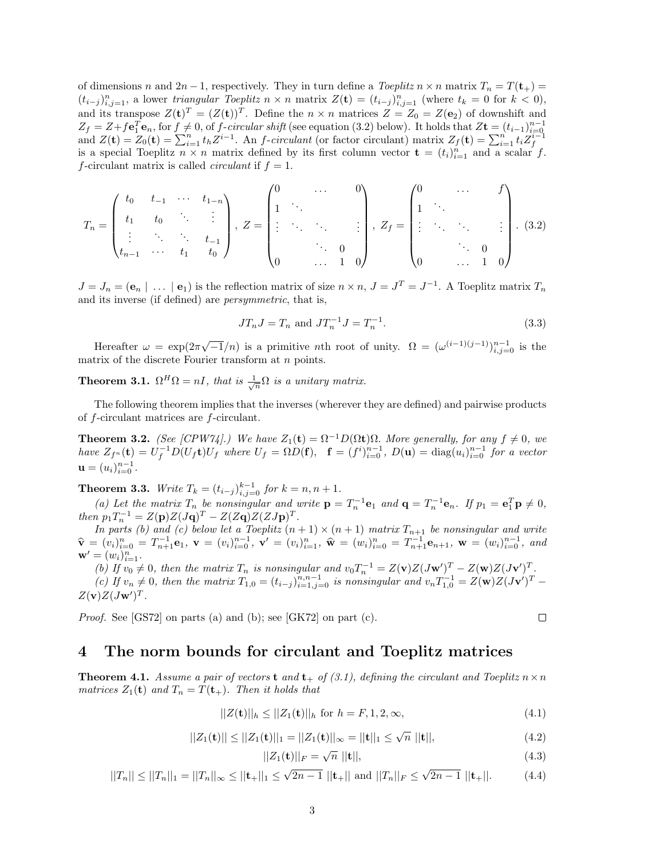of dimensions n and  $2n-1$ , respectively. They in turn define a *Toeplitz*  $n \times n$  matrix  $T_n = T(\mathbf{t}_+) =$  $(t_{i-j})_{i,j=1}^n$ , a lower triangular Toeplitz  $n \times n$  matrix  $Z(\mathbf{t}) = (t_{i-j})_{i,j=1}^n$  (where  $t_k = 0$  for  $k < 0$ ), and its transpose  $Z(\mathbf{t})^T = (Z(\mathbf{t}))^T$ . Define the  $n \times n$  matrices  $Z = Z_0 = Z(\mathbf{e}_2)$  of downshift and  $Z_f = Z + f \mathbf{e}_1^T \mathbf{e}_n$ , for  $f \neq 0$ , of  $f$ -circular shift (see equation (3.2) below). It holds that  $Z\mathbf{t} = (t_{i-1})_{i=0}^{n-1}$ <br>and  $Z(\mathbf{t}) = Z_0(\mathbf{t}) = \sum_{i=1}^n t_i Z^{i-1}$ . An  $f$ -circulant (or factor circulant) matrix f-circulant matrix is called *circulant* if  $f = 1$ .

$$
T_n = \begin{pmatrix} t_0 & t_{-1} & \cdots & t_{1-n} \\ t_1 & t_0 & \ddots & \vdots \\ \vdots & \ddots & \ddots & t_{-1} \\ t_{n-1} & \cdots & t_1 & t_0 \end{pmatrix}, Z = \begin{pmatrix} 0 & \cdots & 0 \\ 1 & \ddots & & \\ \vdots & \ddots & \ddots & \vdots \\ 0 & \cdots & 1 & 0 \end{pmatrix}, Z_f = \begin{pmatrix} 0 & \cdots & f \\ 1 & \ddots & & \\ \vdots & \ddots & \ddots & \vdots \\ 0 & \cdots & 1 & 0 \end{pmatrix}.
$$
 (3.2)

 $J = J_n = (e_n \mid \dots \mid e_1)$  is the reflection matrix of size  $n \times n$ ,  $J = J^T = J^{-1}$ . A Toeplitz matrix  $T_n$ and its inverse (if defined) are persymmetric, that is,

$$
JT_n J = T_n \text{ and } JT_n^{-1} J = T_n^{-1}.
$$
\n(3.3)

Hereafter  $\omega = \exp(2\pi\sqrt{-1}/n)$  is a primitive *n*th root of unity.  $\Omega = (\omega^{(i-1)(j-1)})_{i,j=0}^{n-1}$  is the matrix of the discrete Fourier transform at *n* points.

**Theorem 3.1.**  $\Omega^H \Omega = nI$ , that is  $\frac{1}{\sqrt{n}} \Omega$  is a unitary matrix.

The following theorem implies that the inverses (wherever they are defined) and pairwise products of f-circulant matrices are f-circulant.

**Theorem 3.2.** (See [CPW74].) We have  $Z_1(t) = \Omega^{-1}D(\Omega t)\Omega$ . More generally, for any  $f \neq 0$ , we have  $Z_{f^n}(\mathbf{t}) = U_f^{-1} D(U_f \mathbf{t}) U_f$  where  $U_f = \Omega D(\mathbf{f}), \quad \mathbf{f} = (f^i)_{i=0}^{n-1}$ ,  $D(\mathbf{u}) = \text{diag}(u_i)_{i=0}^{n-1}$  for a vector  $\mathbf{u} = (u_i)_{i=0}^{n-1}$ .

**Theorem 3.3.** Write  $T_k = (t_{i-j})_{i,j=0}^{k-1}$  for  $k = n, n + 1$ .

(a) Let the matrix  $T_n$  be nonsingular and write  $\mathbf{p} = T_n^{-1} \mathbf{e}_1$  and  $\mathbf{q} = T_n^{-1} \mathbf{e}_n$ . If  $p_1 = \mathbf{e}_1^T \mathbf{p} \neq 0$ , then  $p_1 T_n^{-1} = Z(\mathbf{p})Z(J\mathbf{q})^T - Z(Z\mathbf{q})Z(ZJ\mathbf{p})^T$ .

In parts (b) and (c) below let a Toeplitz  $(n + 1) \times (n + 1)$  matrix  $T_{n+1}$  be nonsingular and write  $\widehat{\mathbf{v}} = (v_i)_{i=0}^n = T_{n+1}^{-1} \mathbf{e}_1, \ \mathbf{v} = (v_i)_{i=0}^{n-1}, \ \mathbf{v}' = (v_i)_{i=1}^n, \ \widehat{\mathbf{w}} = (w_i)_{i=0}^n = T_{n+1}^{-1} \mathbf{e}_{n+1}, \ \mathbf{w} = (w_i)_{i=0}^{n-1}, \ \text{and}$  $\mathbf{w}' = (w_i)_{i=1}^n$ .

(b) If  $v_0 \neq 0$ , then the matrix  $T_n$  is nonsingular and  $v_0 T_n^{-1} = Z(\mathbf{v})Z(J\mathbf{w}')^T - Z(\mathbf{w})Z(J\mathbf{v}')^T$ .

(c) If  $v_n \neq 0$ , then the matrix  $T_{1,0} = (t_{i-j})_{i=1,j=0}^{n,n-1}$  is nonsingular and  $v_n T_{1,0}^{-1} = Z(\mathbf{w})Z(J\mathbf{v}')^T$  $Z(\mathbf{v})Z(J\mathbf{w}')^T$ .

Proof. See [GS72] on parts (a) and (b); see [GK72] on part (c).

$$
\Box
$$

### 4 The norm bounds for circulant and Toeplitz matrices

**Theorem 4.1.** Assume a pair of vectors **t** and **t**<sub>+</sub> of (3.1), defining the circulant and Toeplitz  $n \times n$ matrices  $Z_1(t)$  and  $T_n = T(t_+)$ . Then it holds that

$$
||Z(\mathbf{t})||_h \le ||Z_1(\mathbf{t})||_h \text{ for } h = F, 1, 2, \infty,
$$
\n(4.1)

$$
||Z_1(\mathbf{t})|| \le ||Z_1(\mathbf{t})||_1 = ||Z_1(\mathbf{t})||_{\infty} = ||\mathbf{t}||_1 \le \sqrt{n} ||\mathbf{t}||, \tag{4.2}
$$

$$
||Z_1(t)||_F = \sqrt{n} ||t||, \tag{4.3}
$$

$$
||T_n|| \le ||T_n||_1 = ||T_n||_{\infty} \le ||\mathbf{t}_+||_1 \le \sqrt{2n-1} ||\mathbf{t}_+|| \text{ and } ||T_n||_F \le \sqrt{2n-1} ||\mathbf{t}_+||. \tag{4.4}
$$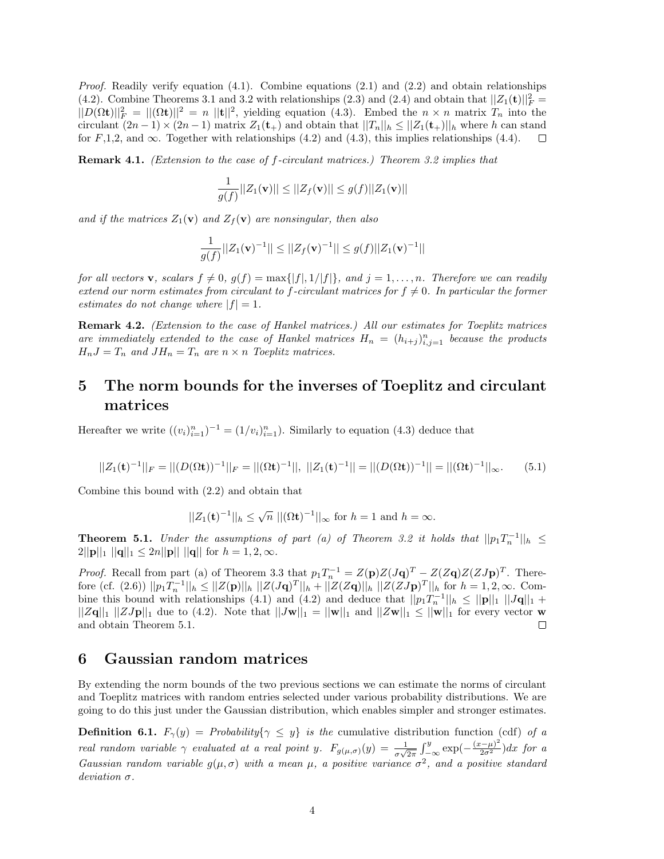*Proof.* Readily verify equation  $(4.1)$ . Combine equations  $(2.1)$  and  $(2.2)$  and obtain relationships (4.2). Combine Theorems 3.1 and 3.2 with relationships (2.3) and (2.4) and obtain that  $||Z_1(\mathbf{t})||_F^2 =$  $||D(\Omega t)||_F^2 = ||(\Omega t)||^2 = n ||t||^2$ , yielding equation (4.3). Embed the  $n \times n$  matrix  $T_n$  into the circulant  $(2n-1) \times (2n-1)$  matrix  $Z_1(\mathbf{t}_+)$  and obtain that  $||T_n||_h \leq ||Z_1(\mathbf{t}_+)||_h$  where h can stand for  $F,1,2$ , and  $\infty$ . Together with relationships (4.2) and (4.3), this implies relationships (4.4).  $\Box$ 

**Remark 4.1.** (Extension to the case of f-circulant matrices.) Theorem 3.2 implies that

$$
\frac{1}{g(f)}||Z_1(\mathbf{v})|| \le ||Z_f(\mathbf{v})|| \le g(f)||Z_1(\mathbf{v})||
$$

and if the matrices  $Z_1(\mathbf{v})$  and  $Z_f(\mathbf{v})$  are nonsingular, then also

$$
\frac{1}{g(f)}||Z_1(\mathbf{v})^{-1}|| \leq ||Z_f(\mathbf{v})^{-1}|| \leq g(f)||Z_1(\mathbf{v})^{-1}||
$$

for all vectors **v**, scalars  $f \neq 0$ ,  $g(f) = \max\{|f|, 1/|f|\}$ , and  $j = 1, ..., n$ . Therefore we can readily extend our norm estimates from circulant to f-circulant matrices for  $f \neq 0$ . In particular the former estimates do not change where  $|f| = 1$ .

Remark 4.2. (Extension to the case of Hankel matrices.) All our estimates for Toeplitz matrices are immediately extended to the case of Hankel matrices  $H_n = (h_{i+j})_{i,j=1}^n$  because the products  $H_nJ = T_n$  and  $JH_n = T_n$  are  $n \times n$  Toeplitz matrices.

## 5 The norm bounds for the inverses of Toeplitz and circulant matrices

Hereafter we write  $((v_i)_{i=1}^n)^{-1} = (1/v_i)_{i=1}^n$ . Similarly to equation (4.3) deduce that

$$
||Z_1(\mathbf{t})^{-1}||_F = ||(D(\Omega \mathbf{t}))^{-1}||_F = ||(\Omega \mathbf{t})^{-1}||, ||Z_1(\mathbf{t})^{-1}|| = ||(D(\Omega \mathbf{t}))^{-1}|| = ||(\Omega \mathbf{t})^{-1}||_{\infty}.
$$
 (5.1)

Combine this bound with (2.2) and obtain that

$$
||Z_1(\mathbf{t})^{-1}||_h \le \sqrt{n} ||(\Omega \mathbf{t})^{-1}||_{\infty}
$$
 for  $h = 1$  and  $h = \infty$ .

**Theorem 5.1.** Under the assumptions of part (a) of Theorem 3.2 it holds that  $||p_1T_n^{-1}||_h \le$  $2||\mathbf{p}||_1 ||\mathbf{q}||_1 \leq 2n||\mathbf{p}||_1 ||\mathbf{q}||$  for  $h = 1, 2, \infty$ .

*Proof.* Recall from part (a) of Theorem 3.3 that  $p_1T_n^{-1} = Z(p)Z(Jq)^T - Z(Zq)Z(ZJp)^T$ . Therefore (cf. (2.6))  $||p_1T_n^{-1}||_h \le ||Z(\mathbf{p})||_h ||Z(J\mathbf{q})^T||_h + ||Z(Z\mathbf{q})||_h ||Z(ZJ\mathbf{p})^T||_h$  for  $h = 1, 2, \infty$ . Combine this bound with relationships (4.1) and (4.2) and deduce that  $||p_1T_n^{-1}||_h \le ||\mathbf{p}||_1 ||J\mathbf{q}||_1 +$  $||Z\mathbf{q}||_1 ||ZJ\mathbf{p}||_1$  due to (4.2). Note that  $||J\mathbf{w}||_1 = ||\mathbf{w}||_1$  and  $||Z\mathbf{w}||_1 \le ||\mathbf{w}||_1$  for every vector w and obtain Theorem 5.1.  $\Box$ 

### 6 Gaussian random matrices

By extending the norm bounds of the two previous sections we can estimate the norms of circulant and Toeplitz matrices with random entries selected under various probability distributions. We are going to do this just under the Gaussian distribution, which enables simpler and stronger estimates.

**Definition 6.1.**  $F_{\gamma}(y) = Probability\{\gamma \leq y\}$  is the cumulative distribution function (cdf) of a real random variable  $\gamma$  evaluated at a real point y.  $F_{g(\mu,\sigma)}(y) = \frac{1}{\sigma\sqrt{2\pi}} \int_{-\infty}^{y} \exp(-\frac{(x-\mu)^2}{2\sigma^2}) dx$  for a Gaussian random variable  $g(\mu, \sigma)$  with a mean  $\mu$ , a positive variance  $\sigma^2$ , and a positive standard deviation σ.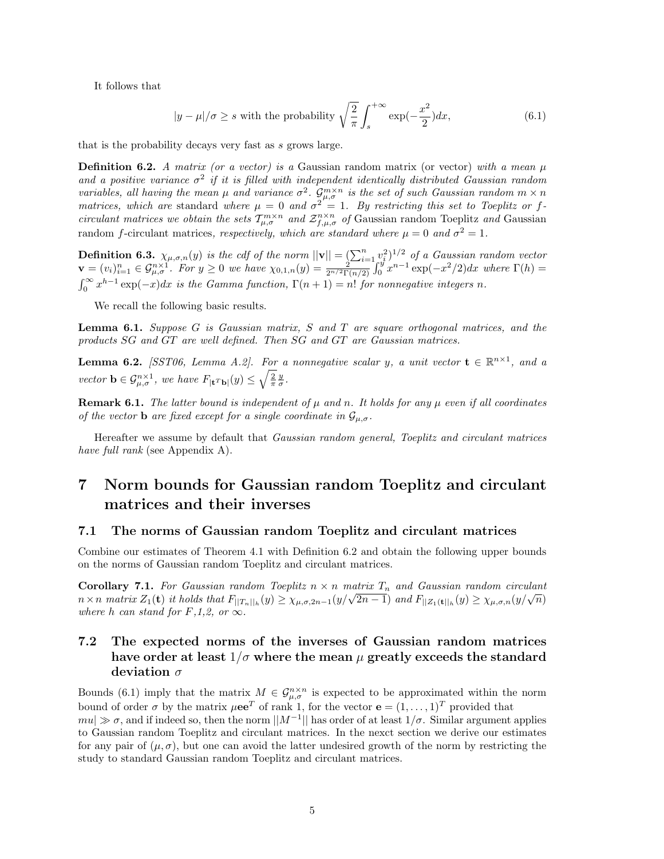It follows that

$$
|y - \mu|/\sigma \ge s \text{ with the probability } \sqrt{\frac{2}{\pi}} \int_s^{+\infty} \exp(-\frac{x^2}{2}) dx, \tag{6.1}
$$

that is the probability decays very fast as s grows large.

**Definition 6.2.** A matrix (or a vector) is a Gaussian random matrix (or vector) with a mean  $\mu$ and a positive variance  $\sigma^2$  if it is filled with independent identically distributed Gaussian random variables, all having the mean  $\mu$  and variance  $\sigma^2$ .  $\mathcal{G}^{m\times n}_{\mu,\sigma}$  is the set of such Gaussian random  $m\times n$ matrices, which are standard where  $\mu = 0$  and  $\sigma^2 = 1$ . By restricting this set to Toeplitz or fcirculant matrices we obtain the sets  $T_{\mu,\sigma}^{m\times n}$  and  $\mathcal{Z}_{f,\mu,\sigma}^{n\times n}$  of Gaussian random Toeplitz and Gaussian random f-circulant matrices, respectively, which are standard where  $\mu = 0$  and  $\sigma^2 = 1$ .

**Definition 6.3.**  $\chi_{\mu,\sigma,n}(y)$  is the cdf of the norm  $||\mathbf{v}|| = \left(\sum_{i=1}^n v_i^2\right)^{1/2}$  of a Gaussian random vector  $\mathbf{v} = (v_i)_{i=1}^n \in \mathcal{G}_{\mu,\sigma}^{n \times 1}$ . For  $y \ge 0$  we have  $\chi_{0,1,n}(y) = \frac{2^{n-1}}{2^{n/2} \Gamma(n/2)} \int_0^y x^{n-1} \exp(-x^2/2) dx$  where  $\Gamma(h) =$  $\int_0^\infty x^{h-1} \exp(-x) dx$  is the Gamma function,  $\Gamma(n+1) = n!$  for nonnegative integers n.

We recall the following basic results.

**Lemma 6.1.** Suppose G is Gaussian matrix, S and T are square orthogonal matrices, and the products SG and GT are well defined. Then SG and GT are Gaussian matrices.

**Lemma 6.2.** [SST06, Lemma A.2]. For a nonnegative scalar y, a unit vector  $\mathbf{t} \in \mathbb{R}^{n \times 1}$ , and a vector  $\mathbf{b} \in \mathcal{G}_{\mu,\sigma}^{n\times 1}$ , we have  $F_{|\mathbf{t}^T\mathbf{b}|}(y) \leq \sqrt{\frac{2}{\pi}} \frac{y}{\sigma}$ .

**Remark 6.1.** The latter bound is independent of  $\mu$  and n. It holds for any  $\mu$  even if all coordinates of the vector **b** are fixed except for a single coordinate in  $\mathcal{G}_{\mu,\sigma}$ .

Hereafter we assume by default that Gaussian random general, Toeplitz and circulant matrices have full rank (see Appendix A).

# 7 Norm bounds for Gaussian random Toeplitz and circulant matrices and their inverses

#### 7.1 The norms of Gaussian random Toeplitz and circulant matrices

Combine our estimates of Theorem 4.1 with Definition 6.2 and obtain the following upper bounds on the norms of Gaussian random Toeplitz and circulant matrices.

**Corollary 7.1.** For Gaussian random Toeplitz  $n \times n$  matrix  $T_n$  and Gaussian random circulant **Coronary** *i.i.* For Gaussian random Toeputz  $n \times n$  matrix  $I_n$  and Gaussian random circulant  $n \times n$  matrix  $Z_1(\mathbf{t})$  it holds that  $F_{\left|\left|T_n\right|\right|_h}(y) \geq \chi_{\mu,\sigma,2n-1}(y/\sqrt{2n-1})$  and  $F_{\left|\left|Z_1(\mathbf{t})\right|\right|_h}(y) \geq \chi_{\mu$ where h can stand for  $F,1,2$ , or  $\infty$ .

## 7.2 The expected norms of the inverses of Gaussian random matrices have order at least  $1/\sigma$  where the mean  $\mu$  greatly exceeds the standard deviation  $\sigma$

Bounds (6.1) imply that the matrix  $M \in \mathcal{G}_{\mu,\sigma}^{n \times n}$  is expected to be approximated within the norm bound of order  $\sigma$  by the matrix  $\mu \mathbf{e} \mathbf{e}^T$  of rank 1, for the vector  $\mathbf{e} = (1, \ldots, 1)^T$  provided that  $mu \gg \sigma$ , and if indeed so, then the norm  $||M^{-1}||$  has order of at least  $1/\sigma$ . Similar argument applies to Gaussian random Toeplitz and circulant matrices. In the nexct section we derive our estimates for any pair of  $(\mu, \sigma)$ , but one can avoid the latter undesired growth of the norm by restricting the study to standard Gaussian random Toeplitz and circulant matrices.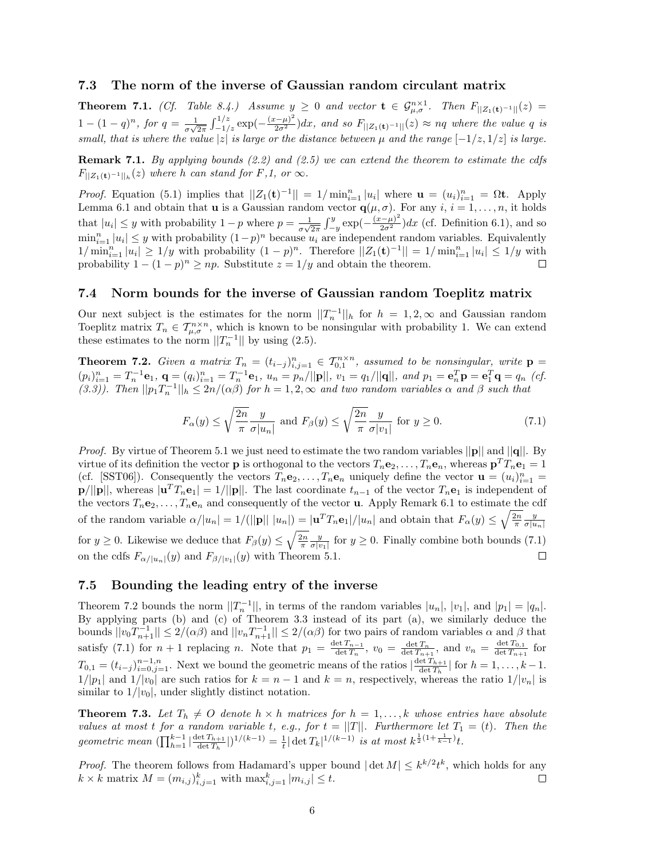#### 7.3 The norm of the inverse of Gaussian random circulant matrix

**Theorem 7.1.** (Cf. Table 8.4.) Assume  $y \ge 0$  and vector  $\mathbf{t} \in \mathcal{G}_{\mu,\sigma}^{n \times 1}$ . Then  $F_{\vert Z_1(\mathbf{t})^{-1} \vert \vert}(z)$  $1-(1-q)^n$ , for  $q=\frac{1}{\pi\sqrt{2}}$  $\frac{1}{\sigma\sqrt{2\pi}}\int_{-1/z}^{1/z} \exp(-\frac{(x-\mu)^2}{2\sigma^2})dx$ , and so  $F_{\vert |Z_1(\mathbf{t})^{-1}\vert \vert}(z) \approx nq$  where the value q is small, that is where the value |z| is large or the distance between  $\mu$  and the range  $[-1/z, 1/z]$  is large.

**Remark 7.1.** By applying bounds  $(2.2)$  and  $(2.5)$  we can extend the theorem to estimate the cdfs  $F_{\vert Z_1(\mathbf{t})^{-1}\vert \vert_h}(z)$  where h can stand for F,1, or  $\infty$ .

*Proof.* Equation (5.1) implies that  $||Z_1(\mathbf{t})^{-1}|| = 1/\min_{i=1}^n |u_i|$  where  $\mathbf{u} = (u_i)_{i=1}^n = \Omega \mathbf{t}$ . Apply Lemma 6.1 and obtain that **u** is a Gaussian random vector  $\mathbf{q}(\mu, \sigma)$ . For any  $i, i = 1, \ldots, n$ , it holds that  $|u_i| \leq y$  with probability  $1 - p$  where  $p = \frac{1}{\sigma}$  $\frac{1}{\sigma\sqrt{2\pi}}\int_{-y}^{y} \exp(-\frac{(x-\mu)^2}{2\sigma^2})dx$  (cf. Definition 6.1), and so  $\min_{i=1}^n |u_i| \leq y$  with probability  $(1-p)^n$  because  $u_i$  are independent random variables. Equivalently  $1/\min_{i=1}^n |u_i| \geq 1/y$  with probability  $(1-p)^n$ . Therefore  $||Z_1(\mathbf{t})^{-1}|| = 1/\min_{i=1}^n |u_i| \leq 1/y$  with probability  $1 - (1 - p)^n \ge np$ . Substitute  $z = 1/y$  and obtain the theorem.

#### 7.4 Norm bounds for the inverse of Gaussian random Toeplitz matrix

Our next subject is the estimates for the norm  $||T_n^{-1}||_h$  for  $h = 1, 2, \infty$  and Gaussian random Toeplitz matrix  $T_n \in \mathcal{T}_{\mu,\sigma}^{n \times n}$ , which is known to be nonsingular with probability 1. We can extend these estimates to the norm  $||T_n^{-1}||$  by using (2.5).

**Theorem 7.2.** Given a matrix  $T_n = (t_{i-j})_{i,j=1}^n \in T_{0,1}^{n \times n}$ , assumed to be nonsingular, write  $p =$  $(p_i)_{i=1}^n = T_n^{-1} \mathbf{e}_1, \ \mathbf{q} = (q_i)_{i=1}^n = T_n^{-1} \mathbf{e}_1, \ u_n = p_n / ||\mathbf{p}||, \ v_1 = q_1 / ||\mathbf{q}||, \ and \ p_1 = \mathbf{e}_n^T \mathbf{p} = \mathbf{e}_1^T \mathbf{q} = q_n \ (cf.$ (3.3)). Then  $||p_1T_n^{-1}||_h \leq 2n/(\alpha\beta)$  for  $h = 1, 2, \infty$  and two random variables  $\alpha$  and  $\beta$  such that

$$
F_{\alpha}(y) \le \sqrt{\frac{2n}{\pi}} \frac{y}{\sigma |u_n|} \text{ and } F_{\beta}(y) \le \sqrt{\frac{2n}{\pi}} \frac{y}{\sigma |v_1|} \text{ for } y \ge 0. \tag{7.1}
$$

*Proof.* By virtue of Theorem 5.1 we just need to estimate the two random variables  $||\mathbf{p}||$  and  $||\mathbf{q}||$ . By virtue of its definition the vector **p** is orthogonal to the vectors  $T_n$ **e**<sub>2</sub>, ...,  $T_n$ **e**<sub>n</sub>, whereas  $\mathbf{p}^T T_n$ **e**<sub>1</sub> = 1 (cf. [SST06]). Consequently the vectors  $T_n \mathbf{e}_2, \ldots, T_n \mathbf{e}_n$  uniquely define the vector  $\mathbf{u} = (u_i)_{i=1}^n =$  $\mathbf{p}/||\mathbf{p}||$ , whereas  $|\mathbf{u}^T T_n \mathbf{e}_1| = 1/||\mathbf{p}||$ . The last coordinate  $t_{n-1}$  of the vector  $T_n \mathbf{e}_1$  is independent of the vectors  $T_n e_2, \ldots, T_n e_n$  and consequently of the vector **u**. Apply Remark 6.1 to estimate the cdf of the random variable  $\alpha/|u_n| = 1/(||\mathbf{p}|| \, |u_n|) = |\mathbf{u}^T T_n \mathbf{e}_1|/|u_n|$  and obtain that  $F_\alpha(y) \le \sqrt{\frac{2n}{\pi}} \frac{y}{\sigma |u_n|}$ for  $y \ge 0$ . Likewise we deduce that  $F_\beta(y) \le \sqrt{\frac{2n}{\pi}} \frac{y}{\sigma |v_1|}$  for  $y \ge 0$ . Finally combine both bounds (7.1) on the cdfs  $F_{\alpha/|u_n|}(y)$  and  $F_{\beta/|v_1|}(y)$  with Theorem 5.1.  $\Box$ 

#### 7.5 Bounding the leading entry of the inverse

Theorem 7.2 bounds the norm  $||T_n^{-1}||$ , in terms of the random variables  $|u_n|$ ,  $|v_1|$ , and  $|p_1| = |q_n|$ . By applying parts (b) and (c) of Theorem 3.3 instead of its part (a), we similarly deduce the bounds  $||v_0T_{n+1}^{-1}|| \leq 2/(\alpha\beta)$  and  $||v_nT_{n+1}^{-1}|| \leq 2/(\alpha\beta)$  for two pairs of random variables  $\alpha$  and  $\beta$  that satisfy (7.1) for  $n + 1$  replacing n. Note that  $p_1 = \frac{\det T_{n-1}}{\det T_n}$  $\frac{\det T_{n-1}}{\det T_n}$ ,  $v_0 = \frac{\det T_n}{\det T_{n+1}}$ , and  $v_n = \frac{\det T_{0,1}}{\det T_{n+1}}$  $\frac{\det I_{0,1}}{\det T_{n+1}}$  for  $T_{0,1} = (t_{i-j})_{i=0,j=1}^{n-1,n}$ . Next we bound the geometric means of the ratios  $\left|\frac{\det T_{h+1}}{\det T_h}\right|$  $\frac{\det T_{h+1}}{\det T_h}$  for  $h = 1, \ldots, k-1$ .  $1/|p_1|$  and  $1/|v_0|$  are such ratios for  $k = n - 1$  and  $k = n$ , respectively, whereas the ratio  $1/|v_n|$  is similar to  $1/|v_0|$ , under slightly distinct notation.

**Theorem 7.3.** Let  $T_h \neq O$  denote  $h \times h$  matrices for  $h = 1, \ldots, k$  whose entries have absolute values at most t for a random variable t, e.g., for  $t = ||T||$ . Furthermore let  $T_1 = (t)$ . Then the geometric mean  $(\prod_{h=1}^{k-1}|\frac{\det T_{h+1}}{\det T_h})$  $\frac{\det T_{h+1}}{\det T_h}|)^{1/(k-1)} = \frac{1}{t} |\det T_k|^{1/(k-1)}$  is at most  $k^{\frac{1}{2}(1+\frac{1}{k-1})}t$ .

*Proof.* The theorem follows from Hadamard's upper bound  $|\det M| \leq k^{k/2} t^k$ , which holds for any  $k \times k$  matrix  $M = (m_{i,j})_{i,j=1}^k$  with  $\max_{i,j=1}^k |m_{i,j}| \leq t$ . □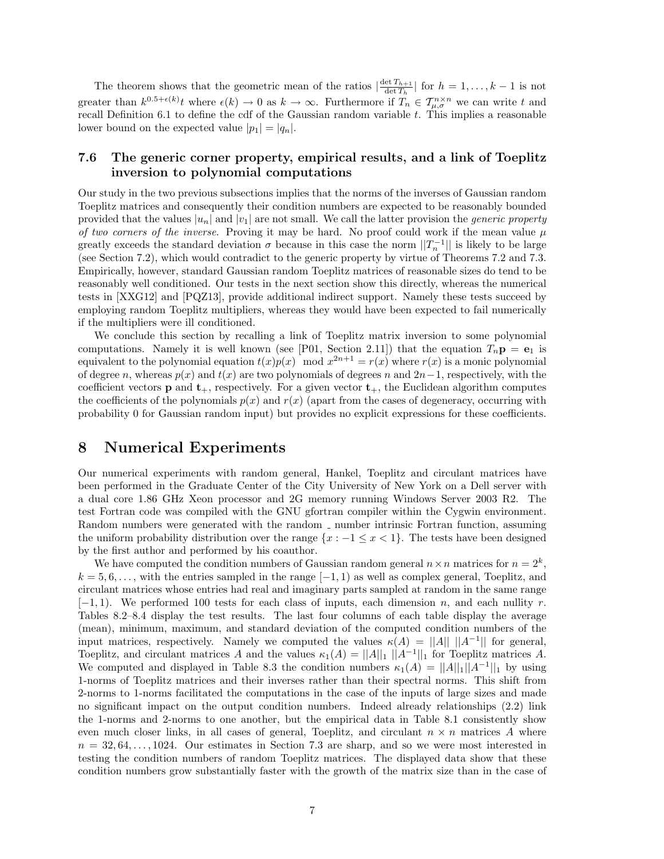The theorem shows that the geometric mean of the ratios  $\frac{\det T_{h+1}}{\det T}$  $\frac{\det T_{h+1}}{\det T_h}$  for  $h = 1, \ldots, k-1$  is not greater than  $k^{0.5+\epsilon(k)}$  where  $\epsilon(k) \to 0$  as  $k \to \infty$ . Furthermore if  $T_n \in \mathcal{T}_{\mu,\sigma}^{n \times n}$  we can write t and recall Definition 6.1 to define the cdf of the Gaussian random variable  $t$ . This implies a reasonable lower bound on the expected value  $|p_1| = |q_n|$ .

### 7.6 The generic corner property, empirical results, and a link of Toeplitz inversion to polynomial computations

Our study in the two previous subsections implies that the norms of the inverses of Gaussian random Toeplitz matrices and consequently their condition numbers are expected to be reasonably bounded provided that the values  $|u_n|$  and  $|v_1|$  are not small. We call the latter provision the *generic property* of two corners of the inverse. Proving it may be hard. No proof could work if the mean value  $\mu$ greatly exceeds the standard deviation  $\sigma$  because in this case the norm  $||T_n^{-1}||$  is likely to be large (see Section 7.2), which would contradict to the generic property by virtue of Theorems 7.2 and 7.3. Empirically, however, standard Gaussian random Toeplitz matrices of reasonable sizes do tend to be reasonably well conditioned. Our tests in the next section show this directly, whereas the numerical tests in [XXG12] and [PQZ13], provide additional indirect support. Namely these tests succeed by employing random Toeplitz multipliers, whereas they would have been expected to fail numerically if the multipliers were ill conditioned.

We conclude this section by recalling a link of Toeplitz matrix inversion to some polynomial computations. Namely it is well known (see [P01, Section 2.11]) that the equation  $T_n \mathbf{p} = \mathbf{e}_1$  is equivalent to the polynomial equation  $t(x)p(x) \mod x^{2n+1} = r(x)$  where  $r(x)$  is a monic polynomial of degree n, whereas  $p(x)$  and  $t(x)$  are two polynomials of degrees n and  $2n-1$ , respectively, with the coefficient vectors **p** and  $t_{+}$ , respectively. For a given vector  $t_{+}$ , the Euclidean algorithm computes the coefficients of the polynomials  $p(x)$  and  $r(x)$  (apart from the cases of degeneracy, occurring with probability 0 for Gaussian random input) but provides no explicit expressions for these coefficients.

### 8 Numerical Experiments

Our numerical experiments with random general, Hankel, Toeplitz and circulant matrices have been performed in the Graduate Center of the City University of New York on a Dell server with a dual core 1.86 GHz Xeon processor and 2G memory running Windows Server 2003 R2. The test Fortran code was compiled with the GNU gfortran compiler within the Cygwin environment. Random numbers were generated with the random  $\Box$  number intrinsic Fortran function, assuming the uniform probability distribution over the range  $\{x : -1 \leq x < 1\}$ . The tests have been designed by the first author and performed by his coauthor.

We have computed the condition numbers of Gaussian random general  $n \times n$  matrices for  $n = 2^k$ ,  $k = 5, 6, \ldots$ , with the entries sampled in the range  $[-1, 1)$  as well as complex general, Toeplitz, and circulant matrices whose entries had real and imaginary parts sampled at random in the same range  $[-1, 1]$ . We performed 100 tests for each class of inputs, each dimension n, and each nullity r. Tables 8.2–8.4 display the test results. The last four columns of each table display the average (mean), minimum, maximum, and standard deviation of the computed condition numbers of the input matrices, respectively. Namely we computed the values  $\kappa(A) = ||A|| ||A^{-1}||$  for general, Toeplitz, and circulant matrices A and the values  $\kappa_1(A) = ||A||_1 ||A^{-1}||_1$  for Toeplitz matrices A. We computed and displayed in Table 8.3 the condition numbers  $\kappa_1(A) = ||A||_1 ||A^{-1}||_1$  by using 1-norms of Toeplitz matrices and their inverses rather than their spectral norms. This shift from 2-norms to 1-norms facilitated the computations in the case of the inputs of large sizes and made no significant impact on the output condition numbers. Indeed already relationships (2.2) link the 1-norms and 2-norms to one another, but the empirical data in Table 8.1 consistently show even much closer links, in all cases of general, Toeplitz, and circulant  $n \times n$  matrices A where  $n = 32, 64, \ldots, 1024$ . Our estimates in Section 7.3 are sharp, and so we were most interested in testing the condition numbers of random Toeplitz matrices. The displayed data show that these condition numbers grow substantially faster with the growth of the matrix size than in the case of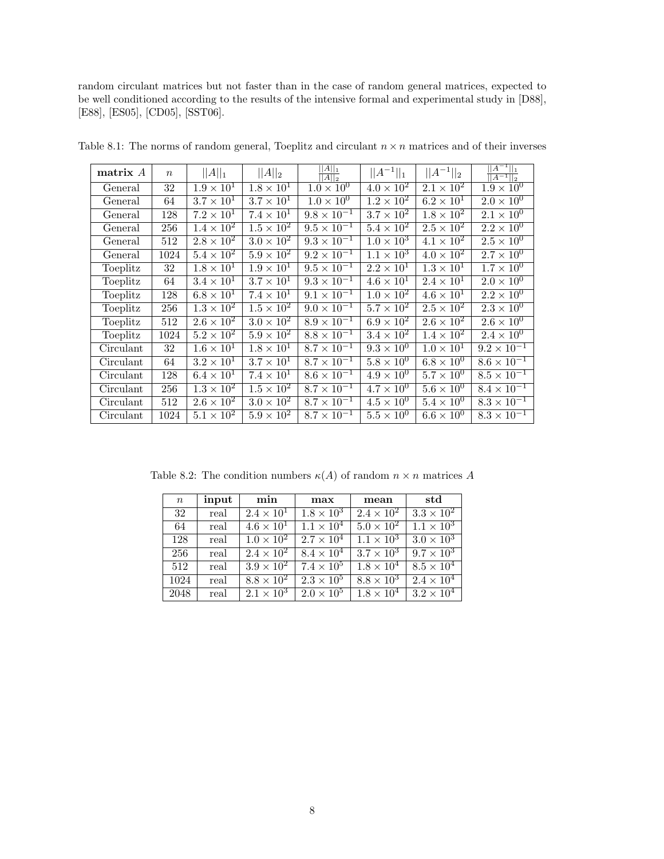random circulant matrices but not faster than in the case of random general matrices, expected to be well conditioned according to the results of the intensive formal and experimental study in [D88], [E88], [ES05], [CD05], [SST06].

| matrix A  | $\boldsymbol{n}$ | $  A  _1$           | $  A  _2$                    | $  A  _1$<br>$  A  _2$ | $  A^{-1}  _1$               | $  A^{-1}  _2$      | $  A^{-1}  _1$<br>$\overline{ A^{-1}  _2}$ |
|-----------|------------------|---------------------|------------------------------|------------------------|------------------------------|---------------------|--------------------------------------------|
| General   | 32               | $1.9 \times 10^{1}$ | $1.8 \times 10^1$            | $1.0 \times 10^{0}$    | $4.0 \times 10^2$            | $2.1 \times 10^2$   | $1.9 \times 10^{0}$                        |
| General   | 64               | $3.7 \times 10^1$   | $3.7 \times 10^{1}$          | $1.0 \times 10^{0}$    | $1.2 \times 10^{2}$          | $6.2\times10^{1}$   | $2.0 \times 10^{0}$                        |
| General   | 128              | $7.2 \times 10^{1}$ | $7.4 \times 10^{1}$          | $9.8 \times 10^{-1}$   | $3.7 \times 10^2$            | $1.8 \times 10^{2}$ | $2.1 \times 10^{0}$                        |
| General   | 256              | $1.4 \times 10^{2}$ | $1.5 \times 10^2$            | $9.5 \times 10^{-1}$   | $5.4 \times 10^2$            | $2.5 \times 10^2$   | $2.2 \times 10^{0}$                        |
| General   | 512              | $2.8 \times 10^2$   | $3.0 \times 10^2$            | $9.3 \times 10^{-1}$   | $1.0 \times 10^3$            | $4.1 \times 10^{2}$ | $2.5 \times 10^{0}$                        |
| General   | 1024             | $5.4 \times 10^2$   | $5.9 \times 10^2$            | $9.2 \times 10^{-1}$   | $\overline{1.1 \times 10^3}$ | $4.0 \times 10^{2}$ | $2.7 \times 10^{0}$                        |
| Toeplitz  | 32               | $1.8 \times 10^{1}$ | $1.9 \times 10^{1}$          | $9.5 \times 10^{-1}$   | $\overline{2.2 \times 10^1}$ | $1.3 \times 10^{1}$ | $1.7 \times 10^{0}$                        |
| Toeplitz  | 64               | $3.4 \times 10^{1}$ | $3.7 \times 10^{1}$          | $9.3 \times 10^{-1}$   | $4.6 \times 10^{1}$          | $2.4 \times 10^{1}$ | $2.0 \times 10^{0}$                        |
| Toeplitz  | 128              | $6.8 \times 10^{1}$ | $7.4 \times 10^{1}$          | $9.1 \times 10^{-1}$   | $1.0 \times 10^{2}$          | $4.6 \times 10^{1}$ | $2.2 \times 10^{0}$                        |
| Toeplitz  | 256              | $1.3 \times 10^2$   | $1.5 \times 10^2$            | $9.0 \times 10^{-1}$   | $5.7 \times 10^2$            | $2.5 \times 10^2$   | $2.3 \times 10^{0}$                        |
| Toeplitz  | 512              | $2.6 \times 10^2$   | $\overline{3.0 \times 10^2}$ | $8.9 \times 10^{-1}$   | $6.9 \times 10^2$            | $2.6 \times 10^2$   | $\sqrt{2.6 \times 10^{0}}$                 |
| Toeplitz  | 1024             | $5.2 \times 10^2$   | $5.9 \times 10^2$            | $8.8 \times 10^{-1}$   | $3.4 \times 10^2$            | $1.4 \times 10^2$   | $2.4 \times 10^{0}$                        |
| Circulant | 32               | $1.6 \times 10^{1}$ | $1.8 \times 10^{1}$          | $8.7 \times 10^{-1}$   | $9.3 \times 10^{0}$          | $1.0 \times 10^{1}$ | $9.2 \times 10^{-1}$                       |
| Circulant | 64               | $3.2 \times 10^1$   | $3.7 \times 10^{1}$          | $8.7 \times 10^{-1}$   | $5.8 \times 10^{0}$          | $6.8 \times 10^{0}$ | $8.6 \times 10^{-1}$                       |
| Circulant | 128              | $6.4 \times 10^{1}$ | $7.4 \times 10^{1}$          | $8.6 \times 10^{-1}$   | $4.9 \times 10^{0}$          | $5.7 \times 10^{0}$ | $8.5 \times 10^{-1}$                       |
| Circulant | 256              | $1.3 \times 10^2$   | $1.5 \times 10^2$            | $8.7 \times 10^{-1}$   | $4.7 \times 10^{0}$          | $5.6 \times 10^{0}$ | $8.4 \times 10^{-1}$                       |
| Circulant | 512              | $2.6 \times 10^2$   | $3.0 \times 10^2$            | $8.7 \times 10^{-1}$   | $4.5 \times 10^{0}$          | $5.4 \times 10^{0}$ | $8.3 \times 10^{-1}$                       |
| Circulant | 1024             | $5.1 \times 10^2$   | $5.9 \times 10^2$            | $8.7 \times 10^{-1}$   | $5.5 \times 10^{0}$          | $6.6 \times 10^{0}$ | $8.3 \times 10^{-1}$                       |

Table 8.1: The norms of random general, Toeplitz and circulant  $n \times n$  matrices and of their inverses

Table 8.2: The condition numbers  $\kappa(A)$  of random  $n \times n$  matrices A

| $\boldsymbol{n}$ | input | min                 | max                 | mean                       | std                 |
|------------------|-------|---------------------|---------------------|----------------------------|---------------------|
| 32               | real  | $2.4 \times 10^{1}$ | $1.8 \times 10^3$   | $2.4 \times 10^2$          | $3.3 \times 10^2$   |
| 64               | real  | $4.6 \times 10^{1}$ | $1.1 \times 10^{4}$ | $5.0 \times 10^{2}$        | $1.1 \times 10^{3}$ |
| 128              | real  | $1.0 \times 10^2$   | $2.7 \times 10^{4}$ | $1.1 \times 10^{3}$        | $3.0 \times 10^3$   |
| 256              | real  | $2.4 \times 10^{2}$ | $8.4 \times 10^4$   | $\overline{3.7\times10^3}$ | $9.7 \times 10^3$   |
| 512              | real  | $3.9 \times 10^2$   | $7.4 \times 10^{5}$ | $1.8 \times 10^{4}$        | $8.5 \times 10^4$   |
| 1024             | real  | $8.8 \times 10^{2}$ | $2.3 \times 10^5$   | $8.8\times10^3$            | $2.4 \times 10^{4}$ |
| 2048             | real  | $2.1 \times 10^3$   | $2.0 \times 10^5$   | $1.8 \times 10^{4}$        | $3.2 \times 10^4$   |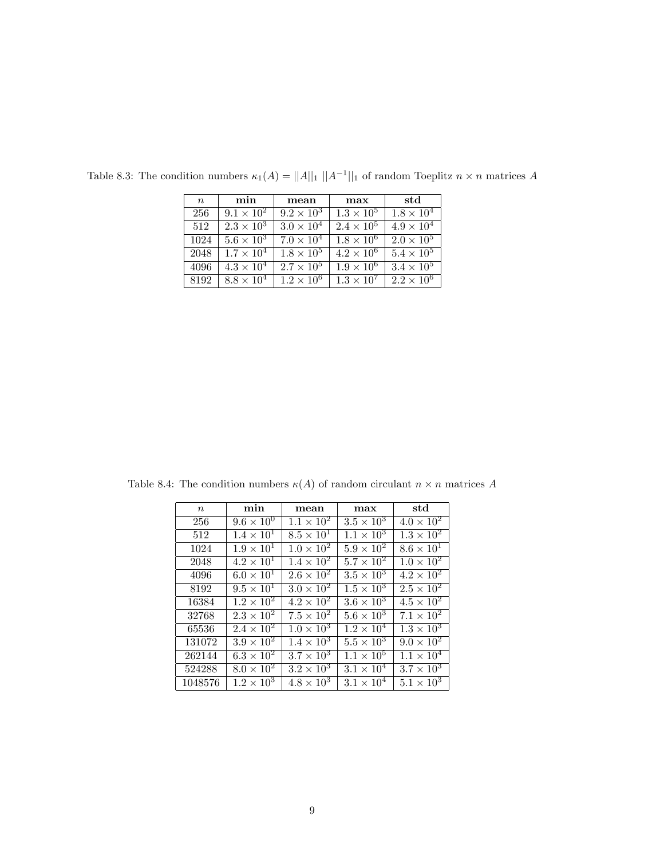| $\,n$ | min                 | mean                | max                 | std                          |
|-------|---------------------|---------------------|---------------------|------------------------------|
| 256   | $9.1 \times 10^{2}$ | $9.2 \times 10^3$   | $1.3 \times 10^5$   | $1.8 \times 10^4$            |
| 512   | $2.3 \times 10^{3}$ | $3.0 \times 10^{4}$ | $2.4 \times 10^{5}$ | $4.9 \times 10^{4}$          |
| 1024  | $5.6 \times 10^{3}$ | $7.0 \times 10^{4}$ | $1.8 \times 10^6$   | $2.0 \times 10^5$            |
| 2048  | $1.7 \times 10^{4}$ | $1.8 \times 10^5$   | $4.2 \times 10^{6}$ | $5.4 \times 10^5$            |
| 4096  | $4.3 \times 10^{4}$ | $2.7 \times 10^{5}$ | $1.9 \times 10^6$   | $3.\overline{4 \times 10^5}$ |
| 8192  | $8.8 \times 10^{4}$ | $1.2 \times 10^{6}$ | $1.3 \times 10^7$   | $2.\overline{2\times10^6}$   |

Table 8.3: The condition numbers  $\kappa_1(A) = ||A||_1 ||A^{-1}||_1$  of random Toeplitz  $n \times n$  matrices A

 $n$  min mean max std 256  $9.6 \times 10^0$   $1.1 \times 10^2$   $3.5 \times 10^3$   $4.0 \times 10^2$  $512$   $1.4 \times 10^{1}$   $8.5 \times 10^{1}$   $1.1 \times 10^{3}$   $1.3 \times 10^{2}$  $1024$   $1.9 \times 10^{1}$   $1.0 \times 10^{2}$   $5.9 \times 10^{2}$   $8.6 \times 10^{1}$ 2048  $\begin{array}{|c|c|c|c|c|c|c|c|c|c|c|}\n\hline\n2048 & 4.2 \times 10^1 & 1.4 \times 10^2 & 5.7 \times 10^2 & 1.0 \times 10^2\n\end{array}$ 4096  $\begin{array}{|c|c|c|c|c|c|c|c|} \hline 6.0 \times 10^{1} & 2.6 \times 10^{2} & 3.5 \times 10^{3} & 4.2 \times 10^{2} \hline \end{array}$ 8192  $9.5 \times 10^1$   $3.0 \times 10^2$   $1.5 \times 10^3$   $2.5 \times 10^2$ 16384 1.2  $\times$  10<sup>2</sup> 4.2  $\times$  10<sup>2</sup> 3.6  $\times$  10<sup>3</sup> 4.5  $\times$  10<sup>2</sup> 32768 2.3  $\times$  10<sup>2</sup> 7.5  $\times$  10<sup>2</sup> 5.6  $\times$  10<sup>3</sup> 7.1  $\times$  10<sup>2</sup> 65536  $2.4 \times 10^2$   $1.0 \times 10^3$   $1.2 \times 10^4$   $1.3 \times 10^3$  $\frac{131072}{3.9 \times 10^{2} \times 1.4 \times 10^{3} \times 5.5 \times 10^{3} \times 9.0 \times 10^{2}}$  $\begin{array}{|c|c|c|c|c|c|c|c|c|}\hline 262144 & 6.3 \times 10^{2} & 3.7 \times 10^{3} & 1.1 \times 10^{5} & 1.1 \times 10^{4} \hline \end{array}$  $524288$   $8.0 \times 10^2$   $3.2 \times 10^3$   $3.1 \times 10^4$   $3.7 \times 10^3$  $1048576$   $1.2 \times 10^3$   $4.8 \times 10^3$   $3.1 \times 10^4$   $5.1 \times 10^3$ 

Table 8.4: The condition numbers  $\kappa(A)$  of random circulant  $n \times n$  matrices A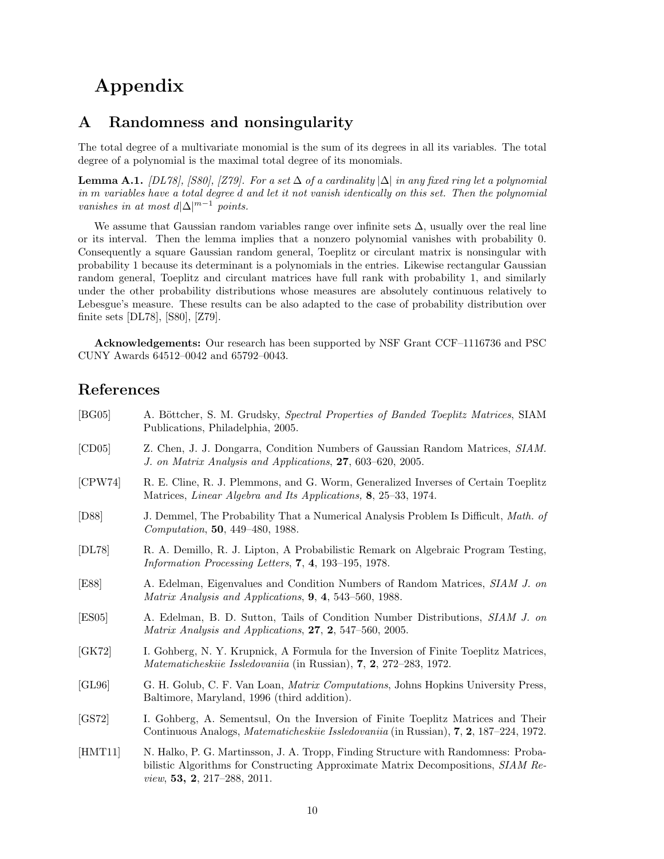# Appendix

## A Randomness and nonsingularity

The total degree of a multivariate monomial is the sum of its degrees in all its variables. The total degree of a polynomial is the maximal total degree of its monomials.

**Lemma A.1.** [DL78], [S80], [Z79]. For a set  $\Delta$  of a cardinality  $|\Delta|$  in any fixed ring let a polynomial in m variables have a total degree d and let it not vanish identically on this set. Then the polynomial vanishes in at most  $d|\Delta|^{m-1}$  points.

We assume that Gaussian random variables range over infinite sets  $\Delta$ , usually over the real line or its interval. Then the lemma implies that a nonzero polynomial vanishes with probability 0. Consequently a square Gaussian random general, Toeplitz or circulant matrix is nonsingular with probability 1 because its determinant is a polynomials in the entries. Likewise rectangular Gaussian random general, Toeplitz and circulant matrices have full rank with probability 1, and similarly under the other probability distributions whose measures are absolutely continuous relatively to Lebesgue's measure. These results can be also adapted to the case of probability distribution over finite sets [DL78], [S80], [Z79].

Acknowledgements: Our research has been supported by NSF Grant CCF–1116736 and PSC CUNY Awards 64512–0042 and 65792–0043.

## References

| [BG05]  | A. Böttcher, S. M. Grudsky, Spectral Properties of Banded Toeplitz Matrices, SIAM<br>Publications, Philadelphia, 2005.                                                                                                |
|---------|-----------------------------------------------------------------------------------------------------------------------------------------------------------------------------------------------------------------------|
| [CD05]  | Z. Chen, J. J. Dongarra, Condition Numbers of Gaussian Random Matrices, SIAM.<br>J. on Matrix Analysis and Applications, 27, 603-620, 2005.                                                                           |
| [CPW74] | R. E. Cline, R. J. Plemmons, and G. Worm, Generalized Inverses of Certain Toeplitz<br>Matrices, Linear Algebra and Its Applications, 8, 25–33, 1974.                                                                  |
| [D88]   | J. Demmel, The Probability That a Numerical Analysis Problem Is Difficult, <i>Math. of</i><br><i>Computation</i> , <b>50</b> , 449–480, 1988.                                                                         |
| [DL78]  | R. A. Demillo, R. J. Lipton, A Probabilistic Remark on Algebraic Program Testing,<br><i>Information Processing Letters,</i> 7, 4, 193–195, 1978.                                                                      |
| [E88]   | A. Edelman, Eigenvalues and Condition Numbers of Random Matrices, SIAM J. on<br>Matrix Analysis and Applications, 9, 4, 543–560, 1988.                                                                                |
| [ES05]  | A. Edelman, B. D. Sutton, Tails of Condition Number Distributions, SIAM J. on<br>Matrix Analysis and Applications, 27, 2, 547-560, 2005.                                                                              |
| [GK72]  | I. Gohberg, N. Y. Krupnick, A Formula for the Inversion of Finite Toeplitz Matrices,<br><i>Matematicheskiie Issledovaniia</i> (in Russian), $7, 2, 272-283, 1972$ .                                                   |
| [GL96]  | G. H. Golub, C. F. Van Loan, Matrix Computations, Johns Hopkins University Press,<br>Baltimore, Maryland, 1996 (third addition).                                                                                      |
| [GS72]  | I. Gohberg, A. Sementsul, On the Inversion of Finite Toeplitz Matrices and Their<br>Continuous Analogs, <i>Matematicheskiie Issledovaniia</i> (in Russian), <b>7, 2</b> , 187–224, 1972.                              |
| [HMT11] | N. Halko, P. G. Martinsson, J. A. Tropp, Finding Structure with Randomness: Proba-<br>bilistic Algorithms for Constructing Approximate Matrix Decompositions, SIAM Re-<br><i>view</i> , <b>53, 2</b> , 217–288, 2011. |